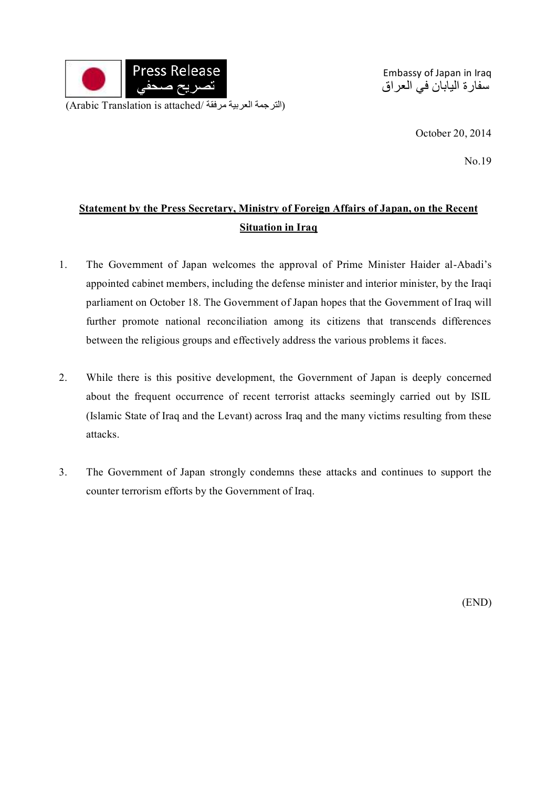

Embassy of Japan in Iraq سفارة اليابان في العراق

October 20, 2014

No.19

## **Statement by the Press Secretary, Ministry of Foreign Affairs of Japan, on the Recent Situation in Iraq**

- 1. The Government of Japan welcomes the approval of Prime Minister Haider al-Abadi's appointed cabinet members, including the defense minister and interior minister, by the Iraqi parliament on October 18. The Government of Japan hopes that the Government of Iraq will further promote national reconciliation among its citizens that transcends differences between the religious groups and effectively address the various problems it faces.
- 2. While there is this positive development, the Government of Japan is deeply concerned about the frequent occurrence of recent terrorist attacks seemingly carried out by ISIL (Islamic State of Iraq and the Levant) across Iraq and the many victims resulting from these attacks.
- 3. The Government of Japan strongly condemns these attacks and continues to support the counter terrorism efforts by the Government of Iraq.

(END)